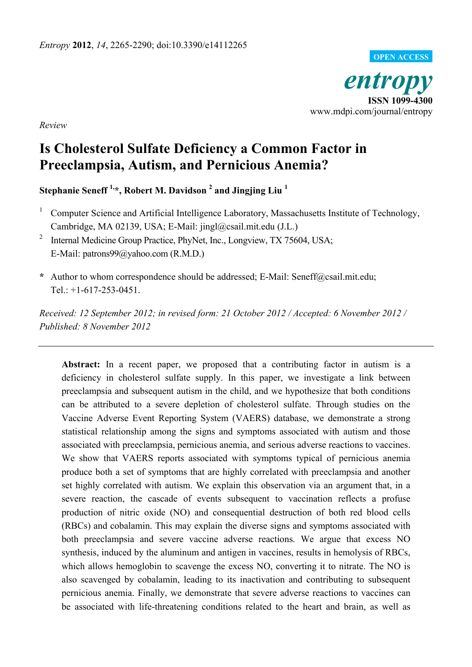

*Review* 

# **Is Cholesterol Sulfate Deficiency a Common Factor in Preeclampsia, Autism, and Pernicious Anemia?**

**Stephanie Seneff 1,\*, Robert M. Davidson 2 and Jingjing Liu <sup>1</sup>**

- <sup>1</sup> Computer Science and Artificial Intelligence Laboratory, Massachusetts Institute of Technology, Cambridge, MA 02139, USA; E-Mail: jingl@csail.mit.edu (J.L.)
- <sup>2</sup> Internal Medicine Group Practice, PhyNet, Inc., Longview, TX 75604, USA; E-Mail: patrons99@yahoo.com (R.M.D.)
- **\*** Author to whom correspondence should be addressed; E-Mail: Seneff@csail.mit.edu; Tel.: +1-617-253-0451.

*Received: 12 September 2012; in revised form: 21 October 2012 / Accepted: 6 November 2012 / Published: 8 November 2012* 

**Abstract:** In a recent paper, we proposed that a contributing factor in autism is a deficiency in cholesterol sulfate supply. In this paper, we investigate a link between preeclampsia and subsequent autism in the child, and we hypothesize that both conditions can be attributed to a severe depletion of cholesterol sulfate. Through studies on the Vaccine Adverse Event Reporting System (VAERS) database, we demonstrate a strong statistical relationship among the signs and symptoms associated with autism and those associated with preeclampsia, pernicious anemia, and serious adverse reactions to vaccines. We show that VAERS reports associated with symptoms typical of pernicious anemia produce both a set of symptoms that are highly correlated with preeclampsia and another set highly correlated with autism. We explain this observation via an argument that, in a severe reaction, the cascade of events subsequent to vaccination reflects a profuse production of nitric oxide (NO) and consequential destruction of both red blood cells (RBCs) and cobalamin. This may explain the diverse signs and symptoms associated with both preeclampsia and severe vaccine adverse reactions. We argue that excess NO synthesis, induced by the aluminum and antigen in vaccines, results in hemolysis of RBCs, which allows hemoglobin to scavenge the excess NO, converting it to nitrate. The NO is also scavenged by cobalamin, leading to its inactivation and contributing to subsequent pernicious anemia. Finally, we demonstrate that severe adverse reactions to vaccines can be associated with life-threatening conditions related to the heart and brain, as well as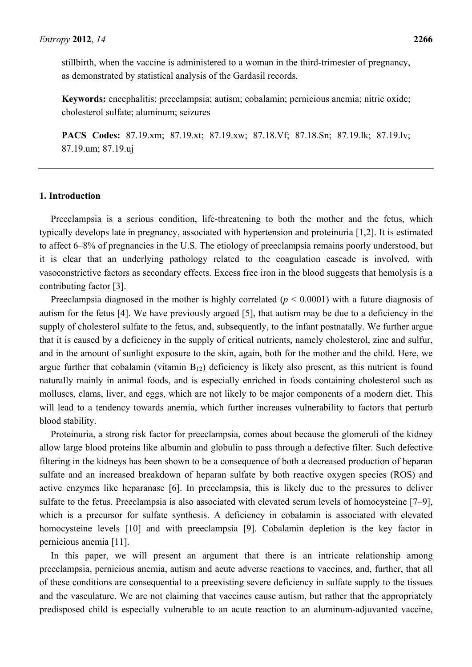stillbirth, when the vaccine is administered to a woman in the third-trimester of pregnancy, as demonstrated by statistical analysis of the Gardasil records.

**Keywords:** encephalitis; preeclampsia; autism; cobalamin; pernicious anemia; nitric oxide; cholesterol sulfate; aluminum; seizures

**PACS Codes:** 87.19.xm; 87.19.xt; 87.19.xw; 87.18.Vf; 87.18.Sn; 87.19.lk; 87.19.lv; 87.19.um; 87.19.uj

### **1. Introduction**

Preeclampsia is a serious condition, life-threatening to both the mother and the fetus, which typically develops late in pregnancy, associated with hypertension and proteinuria [1,2]. It is estimated to affect 6–8% of pregnancies in the U.S. The etiology of preeclampsia remains poorly understood, but it is clear that an underlying pathology related to the coagulation cascade is involved, with vasoconstrictive factors as secondary effects. Excess free iron in the blood suggests that hemolysis is a contributing factor [3].

Preeclampsia diagnosed in the mother is highly correlated ( $p < 0.0001$ ) with a future diagnosis of autism for the fetus [4]. We have previously argued [5], that autism may be due to a deficiency in the supply of cholesterol sulfate to the fetus, and, subsequently, to the infant postnatally. We further argue that it is caused by a deficiency in the supply of critical nutrients, namely cholesterol, zinc and sulfur, and in the amount of sunlight exposure to the skin, again, both for the mother and the child. Here, we argue further that cobalamin (vitamin  $B_{12}$ ) deficiency is likely also present, as this nutrient is found naturally mainly in animal foods, and is especially enriched in foods containing cholesterol such as molluscs, clams, liver, and eggs, which are not likely to be major components of a modern diet. This will lead to a tendency towards anemia, which further increases vulnerability to factors that perturb blood stability.

Proteinuria, a strong risk factor for preeclampsia, comes about because the glomeruli of the kidney allow large blood proteins like albumin and globulin to pass through a defective filter. Such defective filtering in the kidneys has been shown to be a consequence of both a decreased production of heparan sulfate and an increased breakdown of heparan sulfate by both reactive oxygen species (ROS) and active enzymes like heparanase [6]. In preeclampsia, this is likely due to the pressures to deliver sulfate to the fetus. Preeclampsia is also associated with elevated serum levels of homocysteine [7–9], which is a precursor for sulfate synthesis. A deficiency in cobalamin is associated with elevated homocysteine levels [10] and with preeclampsia [9]. Cobalamin depletion is the key factor in pernicious anemia [11].

In this paper, we will present an argument that there is an intricate relationship among preeclampsia, pernicious anemia, autism and acute adverse reactions to vaccines, and, further, that all of these conditions are consequential to a preexisting severe deficiency in sulfate supply to the tissues and the vasculature. We are not claiming that vaccines cause autism, but rather that the appropriately predisposed child is especially vulnerable to an acute reaction to an aluminum-adjuvanted vaccine,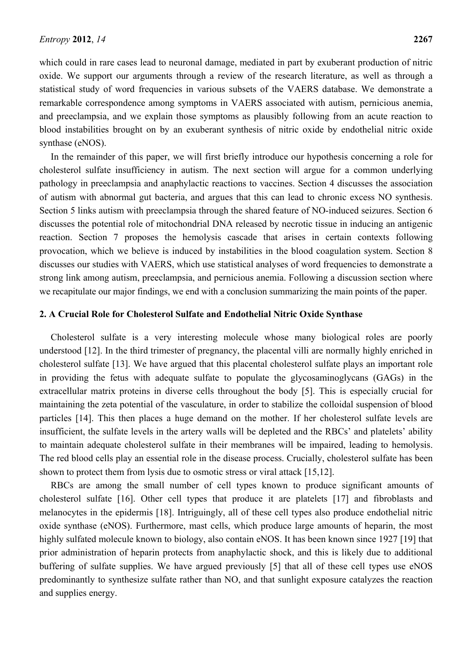which could in rare cases lead to neuronal damage, mediated in part by exuberant production of nitric oxide. We support our arguments through a review of the research literature, as well as through a statistical study of word frequencies in various subsets of the VAERS database. We demonstrate a remarkable correspondence among symptoms in VAERS associated with autism, pernicious anemia, and preeclampsia, and we explain those symptoms as plausibly following from an acute reaction to blood instabilities brought on by an exuberant synthesis of nitric oxide by endothelial nitric oxide synthase (eNOS).

In the remainder of this paper, we will first briefly introduce our hypothesis concerning a role for cholesterol sulfate insufficiency in autism. The next section will argue for a common underlying pathology in preeclampsia and anaphylactic reactions to vaccines. Section 4 discusses the association of autism with abnormal gut bacteria, and argues that this can lead to chronic excess NO synthesis. Section 5 links autism with preeclampsia through the shared feature of NO-induced seizures. Section 6 discusses the potential role of mitochondrial DNA released by necrotic tissue in inducing an antigenic reaction. Section 7 proposes the hemolysis cascade that arises in certain contexts following provocation, which we believe is induced by instabilities in the blood coagulation system. Section 8 discusses our studies with VAERS, which use statistical analyses of word frequencies to demonstrate a strong link among autism, preeclampsia, and pernicious anemia. Following a discussion section where we recapitulate our major findings, we end with a conclusion summarizing the main points of the paper.

#### **2. A Crucial Role for Cholesterol Sulfate and Endothelial Nitric Oxide Synthase**

Cholesterol sulfate is a very interesting molecule whose many biological roles are poorly understood [12]. In the third trimester of pregnancy, the placental villi are normally highly enriched in cholesterol sulfate [13]. We have argued that this placental cholesterol sulfate plays an important role in providing the fetus with adequate sulfate to populate the glycosaminoglycans (GAGs) in the extracellular matrix proteins in diverse cells throughout the body [5]. This is especially crucial for maintaining the zeta potential of the vasculature, in order to stabilize the colloidal suspension of blood particles [14]. This then places a huge demand on the mother. If her cholesterol sulfate levels are insufficient, the sulfate levels in the artery walls will be depleted and the RBCs' and platelets' ability to maintain adequate cholesterol sulfate in their membranes will be impaired, leading to hemolysis. The red blood cells play an essential role in the disease process. Crucially, cholesterol sulfate has been shown to protect them from lysis due to osmotic stress or viral attack [15,12].

RBCs are among the small number of cell types known to produce significant amounts of cholesterol sulfate [16]. Other cell types that produce it are platelets [17] and fibroblasts and melanocytes in the epidermis [18]. Intriguingly, all of these cell types also produce endothelial nitric oxide synthase (eNOS). Furthermore, mast cells, which produce large amounts of heparin, the most highly sulfated molecule known to biology, also contain eNOS. It has been known since 1927 [19] that prior administration of heparin protects from anaphylactic shock, and this is likely due to additional buffering of sulfate supplies. We have argued previously [5] that all of these cell types use eNOS predominantly to synthesize sulfate rather than NO, and that sunlight exposure catalyzes the reaction and supplies energy.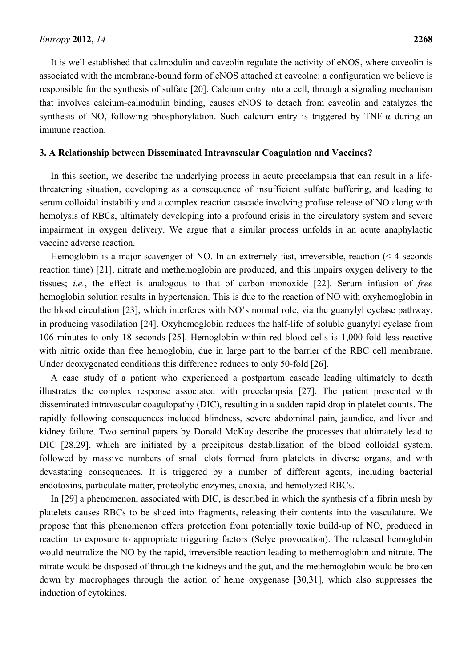It is well established that calmodulin and caveolin regulate the activity of eNOS, where caveolin is associated with the membrane-bound form of eNOS attached at caveolae: a configuration we believe is responsible for the synthesis of sulfate [20]. Calcium entry into a cell, through a signaling mechanism that involves calcium-calmodulin binding, causes eNOS to detach from caveolin and catalyzes the synthesis of NO, following phosphorylation. Such calcium entry is triggered by TNF- $\alpha$  during an immune reaction.

## **3. A Relationship between Disseminated Intravascular Coagulation and Vaccines?**

In this section, we describe the underlying process in acute preeclampsia that can result in a lifethreatening situation, developing as a consequence of insufficient sulfate buffering, and leading to serum colloidal instability and a complex reaction cascade involving profuse release of NO along with hemolysis of RBCs, ultimately developing into a profound crisis in the circulatory system and severe impairment in oxygen delivery. We argue that a similar process unfolds in an acute anaphylactic vaccine adverse reaction.

Hemoglobin is a major scavenger of NO. In an extremely fast, irreversible, reaction (< 4 seconds reaction time) [21], nitrate and methemoglobin are produced, and this impairs oxygen delivery to the tissues; *i.e.*, the effect is analogous to that of carbon monoxide [22]. Serum infusion of *free* hemoglobin solution results in hypertension. This is due to the reaction of NO with oxyhemoglobin in the blood circulation [23], which interferes with NO's normal role, via the guanylyl cyclase pathway, in producing vasodilation [24]. Oxyhemoglobin reduces the half-life of soluble guanylyl cyclase from 106 minutes to only 18 seconds [25]. Hemoglobin within red blood cells is 1,000-fold less reactive with nitric oxide than free hemoglobin, due in large part to the barrier of the RBC cell membrane. Under deoxygenated conditions this difference reduces to only 50-fold [26].

A case study of a patient who experienced a postpartum cascade leading ultimately to death illustrates the complex response associated with preeclampsia [27]. The patient presented with disseminated intravascular coagulopathy (DIC), resulting in a sudden rapid drop in platelet counts. The rapidly following consequences included blindness, severe abdominal pain, jaundice, and liver and kidney failure. Two seminal papers by Donald McKay describe the processes that ultimately lead to DIC [28,29], which are initiated by a precipitous destabilization of the blood colloidal system, followed by massive numbers of small clots formed from platelets in diverse organs, and with devastating consequences. It is triggered by a number of different agents, including bacterial endotoxins, particulate matter, proteolytic enzymes, anoxia, and hemolyzed RBCs.

In [29] a phenomenon, associated with DIC, is described in which the synthesis of a fibrin mesh by platelets causes RBCs to be sliced into fragments, releasing their contents into the vasculature. We propose that this phenomenon offers protection from potentially toxic build-up of NO, produced in reaction to exposure to appropriate triggering factors (Selye provocation). The released hemoglobin would neutralize the NO by the rapid, irreversible reaction leading to methemoglobin and nitrate. The nitrate would be disposed of through the kidneys and the gut, and the methemoglobin would be broken down by macrophages through the action of heme oxygenase [30,31], which also suppresses the induction of cytokines.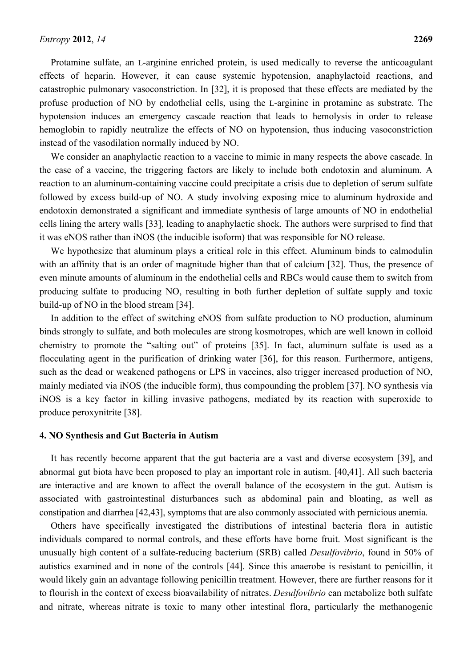Protamine sulfate, an L-arginine enriched protein, is used medically to reverse the anticoagulant effects of heparin. However, it can cause systemic hypotension, anaphylactoid reactions, and catastrophic pulmonary vasoconstriction. In [32], it is proposed that these effects are mediated by the profuse production of NO by endothelial cells, using the L-arginine in protamine as substrate. The hypotension induces an emergency cascade reaction that leads to hemolysis in order to release hemoglobin to rapidly neutralize the effects of NO on hypotension, thus inducing vasoconstriction instead of the vasodilation normally induced by NO.

We consider an anaphylactic reaction to a vaccine to mimic in many respects the above cascade. In the case of a vaccine, the triggering factors are likely to include both endotoxin and aluminum. A reaction to an aluminum-containing vaccine could precipitate a crisis due to depletion of serum sulfate followed by excess build-up of NO. A study involving exposing mice to aluminum hydroxide and endotoxin demonstrated a significant and immediate synthesis of large amounts of NO in endothelial cells lining the artery walls [33], leading to anaphylactic shock. The authors were surprised to find that it was eNOS rather than iNOS (the inducible isoform) that was responsible for NO release.

We hypothesize that aluminum plays a critical role in this effect. Aluminum binds to calmodulin with an affinity that is an order of magnitude higher than that of calcium [32]. Thus, the presence of even minute amounts of aluminum in the endothelial cells and RBCs would cause them to switch from producing sulfate to producing NO, resulting in both further depletion of sulfate supply and toxic build-up of NO in the blood stream [34].

In addition to the effect of switching eNOS from sulfate production to NO production, aluminum binds strongly to sulfate, and both molecules are strong kosmotropes, which are well known in colloid chemistry to promote the "salting out" of proteins [35]. In fact, aluminum sulfate is used as a flocculating agent in the purification of drinking water [36], for this reason. Furthermore, antigens, such as the dead or weakened pathogens or LPS in vaccines, also trigger increased production of NO, mainly mediated via iNOS (the inducible form), thus compounding the problem [37]. NO synthesis via iNOS is a key factor in killing invasive pathogens, mediated by its reaction with superoxide to produce peroxynitrite [38].

#### **4. NO Synthesis and Gut Bacteria in Autism**

It has recently become apparent that the gut bacteria are a vast and diverse ecosystem [39], and abnormal gut biota have been proposed to play an important role in autism. [40,41]. All such bacteria are interactive and are known to affect the overall balance of the ecosystem in the gut. Autism is associated with gastrointestinal disturbances such as abdominal pain and bloating, as well as constipation and diarrhea [42,43], symptoms that are also commonly associated with pernicious anemia.

Others have specifically investigated the distributions of intestinal bacteria flora in autistic individuals compared to normal controls, and these efforts have borne fruit. Most significant is the unusually high content of a sulfate-reducing bacterium (SRB) called *Desulfovibrio*, found in 50% of autistics examined and in none of the controls [44]. Since this anaerobe is resistant to penicillin, it would likely gain an advantage following penicillin treatment. However, there are further reasons for it to flourish in the context of excess bioavailability of nitrates. *Desulfovibrio* can metabolize both sulfate and nitrate, whereas nitrate is toxic to many other intestinal flora, particularly the methanogenic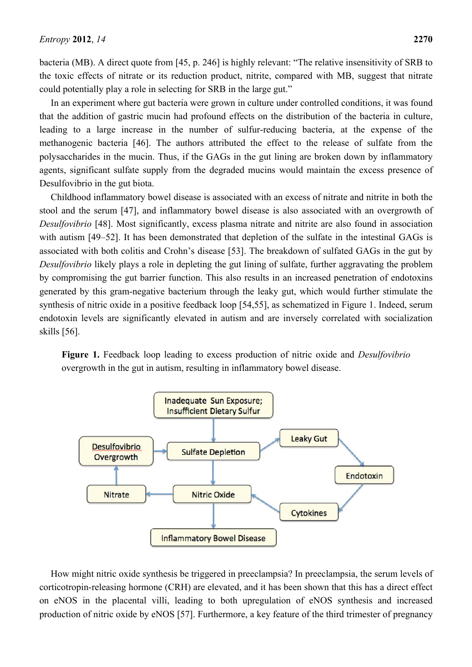bacteria (MB). A direct quote from [45, p. 246] is highly relevant: "The relative insensitivity of SRB to the toxic effects of nitrate or its reduction product, nitrite, compared with MB, suggest that nitrate could potentially play a role in selecting for SRB in the large gut."

In an experiment where gut bacteria were grown in culture under controlled conditions, it was found that the addition of gastric mucin had profound effects on the distribution of the bacteria in culture, leading to a large increase in the number of sulfur-reducing bacteria, at the expense of the methanogenic bacteria [46]. The authors attributed the effect to the release of sulfate from the polysaccharides in the mucin. Thus, if the GAGs in the gut lining are broken down by inflammatory agents, significant sulfate supply from the degraded mucins would maintain the excess presence of Desulfovibrio in the gut biota.

Childhood inflammatory bowel disease is associated with an excess of nitrate and nitrite in both the stool and the serum [47], and inflammatory bowel disease is also associated with an overgrowth of *Desulfovibrio* [48]. Most significantly, excess plasma nitrate and nitrite are also found in association with autism [49–52]. It has been demonstrated that depletion of the sulfate in the intestinal GAGs is associated with both colitis and Crohn's disease [53]. The breakdown of sulfated GAGs in the gut by *Desulfovibrio* likely plays a role in depleting the gut lining of sulfate, further aggravating the problem by compromising the gut barrier function. This also results in an increased penetration of endotoxins generated by this gram-negative bacterium through the leaky gut, which would further stimulate the synthesis of nitric oxide in a positive feedback loop [54,55], as schematized in Figure 1. Indeed, serum endotoxin levels are significantly elevated in autism and are inversely correlated with socialization skills [56].

**Figure 1.** Feedback loop leading to excess production of nitric oxide and *Desulfovibrio* overgrowth in the gut in autism, resulting in inflammatory bowel disease.



How might nitric oxide synthesis be triggered in preeclampsia? In preeclampsia, the serum levels of corticotropin-releasing hormone (CRH) are elevated, and it has been shown that this has a direct effect on eNOS in the placental villi, leading to both upregulation of eNOS synthesis and increased production of nitric oxide by eNOS [57]. Furthermore, a key feature of the third trimester of pregnancy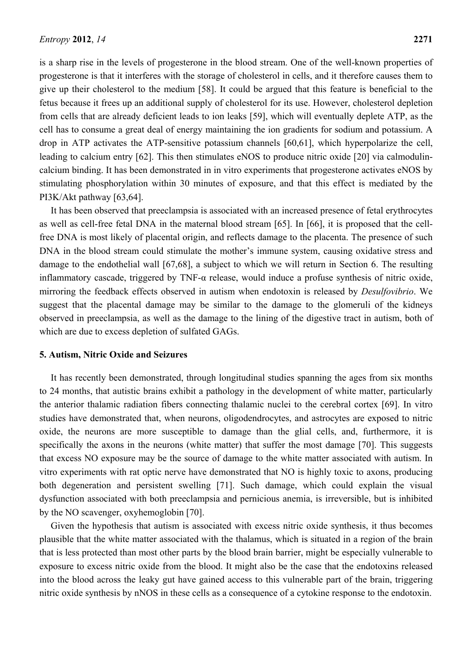is a sharp rise in the levels of progesterone in the blood stream. One of the well-known properties of progesterone is that it interferes with the storage of cholesterol in cells, and it therefore causes them to give up their cholesterol to the medium [58]. It could be argued that this feature is beneficial to the fetus because it frees up an additional supply of cholesterol for its use. However, cholesterol depletion from cells that are already deficient leads to ion leaks [59], which will eventually deplete ATP, as the cell has to consume a great deal of energy maintaining the ion gradients for sodium and potassium. A drop in ATP activates the ATP-sensitive potassium channels [60,61], which hyperpolarize the cell, leading to calcium entry [62]. This then stimulates eNOS to produce nitric oxide [20] via calmodulincalcium binding. It has been demonstrated in in vitro experiments that progesterone activates eNOS by stimulating phosphorylation within 30 minutes of exposure, and that this effect is mediated by the PI3K/Akt pathway [63,64].

It has been observed that preeclampsia is associated with an increased presence of fetal erythrocytes as well as cell-free fetal DNA in the maternal blood stream [65]. In [66], it is proposed that the cellfree DNA is most likely of placental origin, and reflects damage to the placenta. The presence of such DNA in the blood stream could stimulate the mother's immune system, causing oxidative stress and damage to the endothelial wall [67,68], a subject to which we will return in Section 6. The resulting inflammatory cascade, triggered by TNF- $\alpha$  release, would induce a profuse synthesis of nitric oxide, mirroring the feedback effects observed in autism when endotoxin is released by *Desulfovibrio*. We suggest that the placental damage may be similar to the damage to the glomeruli of the kidneys observed in preeclampsia, as well as the damage to the lining of the digestive tract in autism, both of which are due to excess depletion of sulfated GAGs.

#### **5. Autism, Nitric Oxide and Seizures**

It has recently been demonstrated, through longitudinal studies spanning the ages from six months to 24 months, that autistic brains exhibit a pathology in the development of white matter, particularly the anterior thalamic radiation fibers connecting thalamic nuclei to the cerebral cortex [69]. In vitro studies have demonstrated that, when neurons, oligodendrocytes, and astrocytes are exposed to nitric oxide, the neurons are more susceptible to damage than the glial cells, and, furthermore, it is specifically the axons in the neurons (white matter) that suffer the most damage [70]. This suggests that excess NO exposure may be the source of damage to the white matter associated with autism. In vitro experiments with rat optic nerve have demonstrated that NO is highly toxic to axons, producing both degeneration and persistent swelling [71]. Such damage, which could explain the visual dysfunction associated with both preeclampsia and pernicious anemia, is irreversible, but is inhibited by the NO scavenger, oxyhemoglobin [70].

Given the hypothesis that autism is associated with excess nitric oxide synthesis, it thus becomes plausible that the white matter associated with the thalamus, which is situated in a region of the brain that is less protected than most other parts by the blood brain barrier, might be especially vulnerable to exposure to excess nitric oxide from the blood. It might also be the case that the endotoxins released into the blood across the leaky gut have gained access to this vulnerable part of the brain, triggering nitric oxide synthesis by nNOS in these cells as a consequence of a cytokine response to the endotoxin.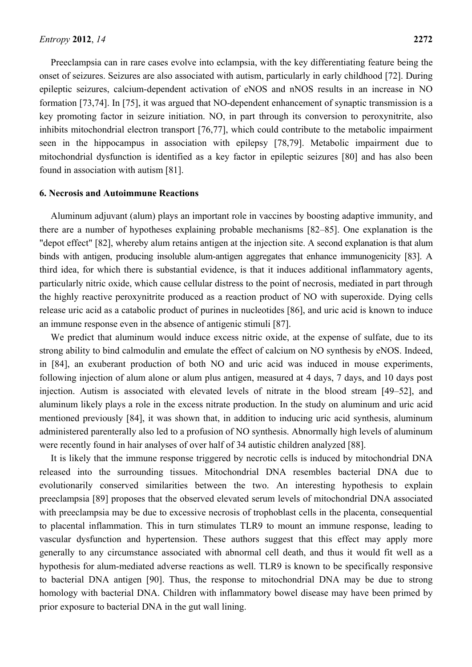Preeclampsia can in rare cases evolve into eclampsia, with the key differentiating feature being the onset of seizures. Seizures are also associated with autism, particularly in early childhood [72]. During epileptic seizures, calcium-dependent activation of eNOS and nNOS results in an increase in NO formation [73,74]. In [75], it was argued that NO-dependent enhancement of synaptic transmission is a key promoting factor in seizure initiation. NO, in part through its conversion to peroxynitrite, also inhibits mitochondrial electron transport [76,77], which could contribute to the metabolic impairment seen in the hippocampus in association with epilepsy [78,79]. Metabolic impairment due to mitochondrial dysfunction is identified as a key factor in epileptic seizures [80] and has also been found in association with autism [81].

#### **6. Necrosis and Autoimmune Reactions**

Aluminum adjuvant (alum) plays an important role in vaccines by boosting adaptive immunity, and there are a number of hypotheses explaining probable mechanisms [82–85]. One explanation is the "depot effect" [82], whereby alum retains antigen at the injection site. A second explanation is that alum binds with antigen, producing insoluble alum-antigen aggregates that enhance immunogenicity [83]. A third idea, for which there is substantial evidence, is that it induces additional inflammatory agents, particularly nitric oxide, which cause cellular distress to the point of necrosis, mediated in part through the highly reactive peroxynitrite produced as a reaction product of NO with superoxide. Dying cells release uric acid as a catabolic product of purines in nucleotides [86], and uric acid is known to induce an immune response even in the absence of antigenic stimuli [87].

We predict that aluminum would induce excess nitric oxide, at the expense of sulfate, due to its strong ability to bind calmodulin and emulate the effect of calcium on NO synthesis by eNOS. Indeed, in [84], an exuberant production of both NO and uric acid was induced in mouse experiments, following injection of alum alone or alum plus antigen, measured at 4 days, 7 days, and 10 days post injection. Autism is associated with elevated levels of nitrate in the blood stream [49–52], and aluminum likely plays a role in the excess nitrate production. In the study on aluminum and uric acid mentioned previously [84], it was shown that, in addition to inducing uric acid synthesis, aluminum administered parenterally also led to a profusion of NO synthesis. Abnormally high levels of aluminum were recently found in hair analyses of over half of 34 autistic children analyzed [88].

It is likely that the immune response triggered by necrotic cells is induced by mitochondrial DNA released into the surrounding tissues. Mitochondrial DNA resembles bacterial DNA due to evolutionarily conserved similarities between the two. An interesting hypothesis to explain preeclampsia [89] proposes that the observed elevated serum levels of mitochondrial DNA associated with preeclampsia may be due to excessive necrosis of trophoblast cells in the placenta, consequential to placental inflammation. This in turn stimulates TLR9 to mount an immune response, leading to vascular dysfunction and hypertension. These authors suggest that this effect may apply more generally to any circumstance associated with abnormal cell death, and thus it would fit well as a hypothesis for alum-mediated adverse reactions as well. TLR9 is known to be specifically responsive to bacterial DNA antigen [90]. Thus, the response to mitochondrial DNA may be due to strong homology with bacterial DNA. Children with inflammatory bowel disease may have been primed by prior exposure to bacterial DNA in the gut wall lining.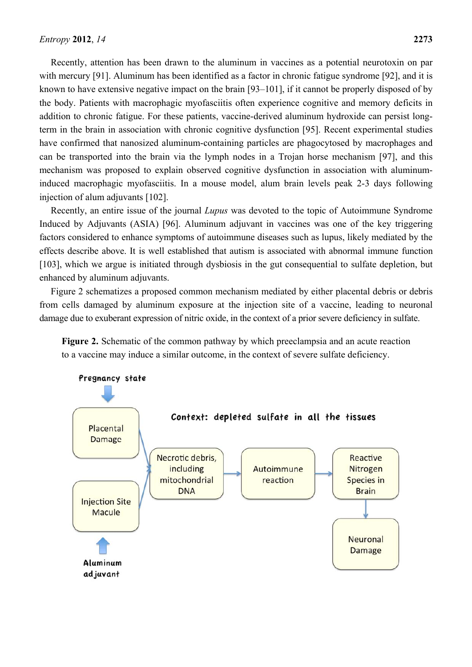Recently, attention has been drawn to the aluminum in vaccines as a potential neurotoxin on par with mercury [91]. Aluminum has been identified as a factor in chronic fatigue syndrome [92], and it is known to have extensive negative impact on the brain [93–101], if it cannot be properly disposed of by the body. Patients with macrophagic myofasciitis often experience cognitive and memory deficits in addition to chronic fatigue. For these patients, vaccine-derived aluminum hydroxide can persist longterm in the brain in association with chronic cognitive dysfunction [95]. Recent experimental studies have confirmed that nanosized aluminum-containing particles are phagocytosed by macrophages and can be transported into the brain via the lymph nodes in a Trojan horse mechanism [97], and this mechanism was proposed to explain observed cognitive dysfunction in association with aluminuminduced macrophagic myofasciitis. In a mouse model, alum brain levels peak 2-3 days following injection of alum adjuvants [102].

Recently, an entire issue of the journal *Lupus* was devoted to the topic of Autoimmune Syndrome Induced by Adjuvants (ASIA) [96]. Aluminum adjuvant in vaccines was one of the key triggering factors considered to enhance symptoms of autoimmune diseases such as lupus, likely mediated by the effects describe above. It is well established that autism is associated with abnormal immune function [103], which we argue is initiated through dysbiosis in the gut consequential to sulfate depletion, but enhanced by aluminum adjuvants.

Figure 2 schematizes a proposed common mechanism mediated by either placental debris or debris from cells damaged by aluminum exposure at the injection site of a vaccine, leading to neuronal damage due to exuberant expression of nitric oxide, in the context of a prior severe deficiency in sulfate.

**Figure 2.** Schematic of the common pathway by which preeclampsia and an acute reaction to a vaccine may induce a similar outcome, in the context of severe sulfate deficiency.

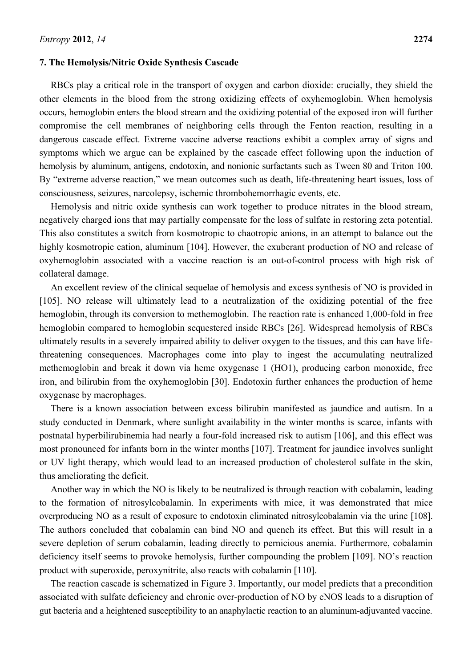#### **7. The Hemolysis/Nitric Oxide Synthesis Cascade**

RBCs play a critical role in the transport of oxygen and carbon dioxide: crucially, they shield the other elements in the blood from the strong oxidizing effects of oxyhemoglobin. When hemolysis occurs, hemoglobin enters the blood stream and the oxidizing potential of the exposed iron will further compromise the cell membranes of neighboring cells through the Fenton reaction, resulting in a dangerous cascade effect. Extreme vaccine adverse reactions exhibit a complex array of signs and symptoms which we argue can be explained by the cascade effect following upon the induction of hemolysis by aluminum, antigens, endotoxin, and nonionic surfactants such as Tween 80 and Triton 100. By "extreme adverse reaction," we mean outcomes such as death, life-threatening heart issues, loss of consciousness, seizures, narcolepsy, ischemic thrombohemorrhagic events, etc.

Hemolysis and nitric oxide synthesis can work together to produce nitrates in the blood stream, negatively charged ions that may partially compensate for the loss of sulfate in restoring zeta potential. This also constitutes a switch from kosmotropic to chaotropic anions, in an attempt to balance out the highly kosmotropic cation, aluminum [104]. However, the exuberant production of NO and release of oxyhemoglobin associated with a vaccine reaction is an out-of-control process with high risk of collateral damage.

An excellent review of the clinical sequelae of hemolysis and excess synthesis of NO is provided in [105]. NO release will ultimately lead to a neutralization of the oxidizing potential of the free hemoglobin, through its conversion to methemoglobin. The reaction rate is enhanced 1,000-fold in free hemoglobin compared to hemoglobin sequestered inside RBCs [26]. Widespread hemolysis of RBCs ultimately results in a severely impaired ability to deliver oxygen to the tissues, and this can have lifethreatening consequences. Macrophages come into play to ingest the accumulating neutralized methemoglobin and break it down via heme oxygenase 1 (HO1), producing carbon monoxide, free iron, and bilirubin from the oxyhemoglobin [30]. Endotoxin further enhances the production of heme oxygenase by macrophages.

There is a known association between excess bilirubin manifested as jaundice and autism. In a study conducted in Denmark, where sunlight availability in the winter months is scarce, infants with postnatal hyperbilirubinemia had nearly a four-fold increased risk to autism [106], and this effect was most pronounced for infants born in the winter months [107]. Treatment for jaundice involves sunlight or UV light therapy, which would lead to an increased production of cholesterol sulfate in the skin, thus ameliorating the deficit.

Another way in which the NO is likely to be neutralized is through reaction with cobalamin, leading to the formation of nitrosylcobalamin. In experiments with mice, it was demonstrated that mice overproducing NO as a result of exposure to endotoxin eliminated nitrosylcobalamin via the urine [108]. The authors concluded that cobalamin can bind NO and quench its effect. But this will result in a severe depletion of serum cobalamin, leading directly to pernicious anemia. Furthermore, cobalamin deficiency itself seems to provoke hemolysis, further compounding the problem [109]. NO's reaction product with superoxide, peroxynitrite, also reacts with cobalamin [110].

The reaction cascade is schematized in Figure 3. Importantly, our model predicts that a precondition associated with sulfate deficiency and chronic over-production of NO by eNOS leads to a disruption of gut bacteria and a heightened susceptibility to an anaphylactic reaction to an aluminum-adjuvanted vaccine.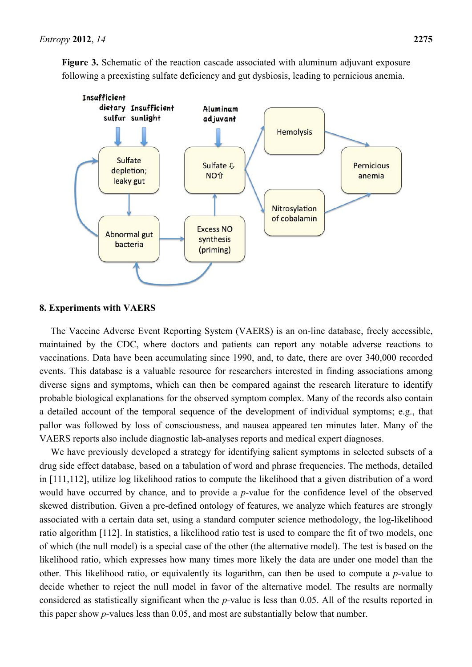**Figure 3.** Schematic of the reaction cascade associated with aluminum adjuvant exposure following a preexisting sulfate deficiency and gut dysbiosis, leading to pernicious anemia.



#### **8. Experiments with VAERS**

The Vaccine Adverse Event Reporting System (VAERS) is an on-line database, freely accessible, maintained by the CDC, where doctors and patients can report any notable adverse reactions to vaccinations. Data have been accumulating since 1990, and, to date, there are over 340,000 recorded events. This database is a valuable resource for researchers interested in finding associations among diverse signs and symptoms, which can then be compared against the research literature to identify probable biological explanations for the observed symptom complex. Many of the records also contain a detailed account of the temporal sequence of the development of individual symptoms; e.g., that pallor was followed by loss of consciousness, and nausea appeared ten minutes later. Many of the VAERS reports also include diagnostic lab-analyses reports and medical expert diagnoses.

We have previously developed a strategy for identifying salient symptoms in selected subsets of a drug side effect database, based on a tabulation of word and phrase frequencies. The methods, detailed in [111,112], utilize log likelihood ratios to compute the likelihood that a given distribution of a word would have occurred by chance, and to provide a *p*-value for the confidence level of the observed skewed distribution. Given a pre-defined ontology of features, we analyze which features are strongly associated with a certain data set, using a standard computer science methodology, the log-likelihood ratio algorithm [112]. In statistics, a likelihood ratio test is used to compare the fit of two models, one of which (the null model) is a special case of the other (the alternative model). The test is based on the likelihood ratio, which expresses how many times more likely the data are under one model than the other. This likelihood ratio, or equivalently its logarithm, can then be used to compute a *p-*value to decide whether to reject the null model in favor of the alternative model. The results are normally considered as statistically significant when the *p-*value is less than 0.05. All of the results reported in this paper show *p-*values less than 0.05, and most are substantially below that number.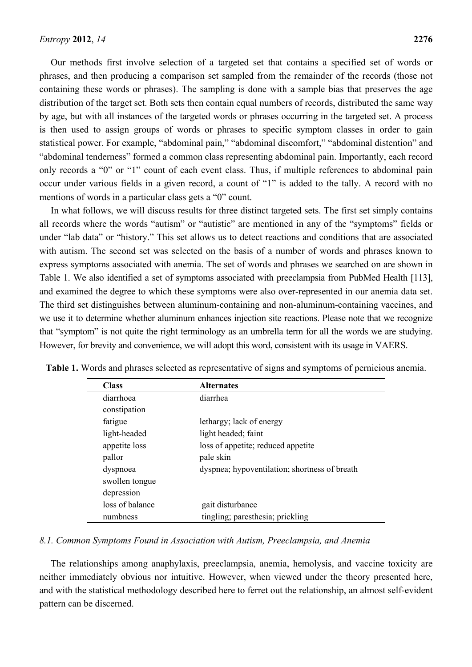Our methods first involve selection of a targeted set that contains a specified set of words or phrases, and then producing a comparison set sampled from the remainder of the records (those not containing these words or phrases). The sampling is done with a sample bias that preserves the age distribution of the target set. Both sets then contain equal numbers of records, distributed the same way by age, but with all instances of the targeted words or phrases occurring in the targeted set. A process is then used to assign groups of words or phrases to specific symptom classes in order to gain statistical power. For example, "abdominal pain," "abdominal discomfort," "abdominal distention" and "abdominal tenderness" formed a common class representing abdominal pain. Importantly, each record only records a "0" or "1" count of each event class. Thus, if multiple references to abdominal pain occur under various fields in a given record, a count of "1" is added to the tally. A record with no mentions of words in a particular class gets a "0" count.

In what follows, we will discuss results for three distinct targeted sets. The first set simply contains all records where the words "autism" or "autistic" are mentioned in any of the "symptoms" fields or under "lab data" or "history." This set allows us to detect reactions and conditions that are associated with autism. The second set was selected on the basis of a number of words and phrases known to express symptoms associated with anemia. The set of words and phrases we searched on are shown in Table 1. We also identified a set of symptoms associated with preeclampsia from PubMed Health [113], and examined the degree to which these symptoms were also over-represented in our anemia data set. The third set distinguishes between aluminum-containing and non-aluminum-containing vaccines, and we use it to determine whether aluminum enhances injection site reactions. Please note that we recognize that "symptom" is not quite the right terminology as an umbrella term for all the words we are studying. However, for brevity and convenience, we will adopt this word, consistent with its usage in VAERS.

| <b>Class</b>    | <b>Alternates</b>                             |
|-----------------|-----------------------------------------------|
| diarrhoea       | diarrhea                                      |
| constipation    |                                               |
| fatigue         | lethargy; lack of energy                      |
| light-headed    | light headed; faint                           |
| appetite loss   | loss of appetite; reduced appetite            |
| pallor          | pale skin                                     |
| dyspnoea        | dyspnea; hypoventilation; shortness of breath |
| swollen tongue  |                                               |
| depression      |                                               |
| loss of balance | gait disturbance                              |
| numbness        | tingling; paresthesia; prickling              |

**Table 1.** Words and phrases selected as representative of signs and symptoms of pernicious anemia.

#### *8.1. Common Symptoms Found in Association with Autism, Preeclampsia, and Anemia*

The relationships among anaphylaxis, preeclampsia, anemia, hemolysis, and vaccine toxicity are neither immediately obvious nor intuitive. However, when viewed under the theory presented here, and with the statistical methodology described here to ferret out the relationship, an almost self-evident pattern can be discerned.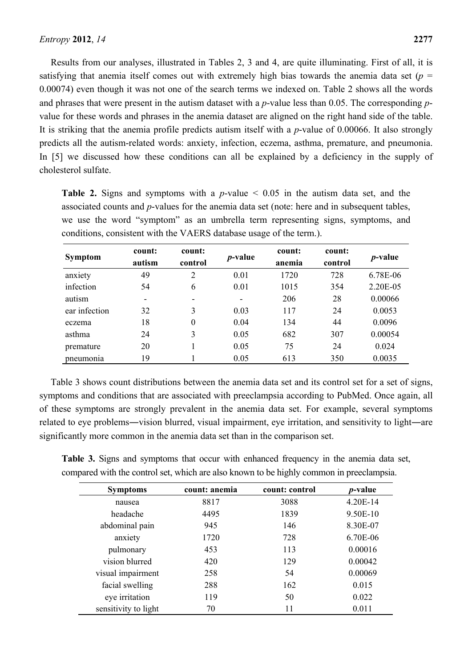Results from our analyses, illustrated in Tables 2, 3 and 4, are quite illuminating. First of all, it is satisfying that anemia itself comes out with extremely high bias towards the anemia data set ( $p =$ 0.00074) even though it was not one of the search terms we indexed on. Table 2 shows all the words and phrases that were present in the autism dataset with a *p*-value less than 0.05. The corresponding *p*value for these words and phrases in the anemia dataset are aligned on the right hand side of the table. It is striking that the anemia profile predicts autism itself with a *p*-value of 0.00066. It also strongly predicts all the autism-related words: anxiety, infection, eczema, asthma, premature, and pneumonia. In [5] we discussed how these conditions can all be explained by a deficiency in the supply of cholesterol sulfate.

**Table 2.** Signs and symptoms with a *p*-value  $\leq 0.05$  in the autism data set, and the associated counts and *p*-values for the anemia data set (note: here and in subsequent tables, we use the word "symptom" as an umbrella term representing signs, symptoms, and conditions, consistent with the VAERS database usage of the term.).

| <b>Symptom</b> | count:<br>autism | count:<br>control | <i>p</i> -value | count:<br>anemia | count:<br>control | <i>p</i> -value |
|----------------|------------------|-------------------|-----------------|------------------|-------------------|-----------------|
| anxiety        | 49               | 2                 | 0.01            | 1720             | 728               | 6.78E-06        |
| infection      | 54               | 6                 | 0.01            | 1015             | 354               | 2.20E-05        |
| autism         |                  | ۰                 | -               | 206              | 28                | 0.00066         |
| ear infection  | 32               | 3                 | 0.03            | 117              | 24                | 0.0053          |
| eczema         | 18               | $\boldsymbol{0}$  | 0.04            | 134              | 44                | 0.0096          |
| asthma         | 24               | 3                 | 0.05            | 682              | 307               | 0.00054         |
| premature      | 20               |                   | 0.05            | 75               | 24                | 0.024           |
| pneumonia      | 19               |                   | 0.05            | 613              | 350               | 0.0035          |

Table 3 shows count distributions between the anemia data set and its control set for a set of signs, symptoms and conditions that are associated with preeclampsia according to PubMed. Once again, all of these symptoms are strongly prevalent in the anemia data set. For example, several symptoms related to eye problems―vision blurred, visual impairment, eye irritation, and sensitivity to light―are significantly more common in the anemia data set than in the comparison set.

**Table 3.** Signs and symptoms that occur with enhanced frequency in the anemia data set, compared with the control set, which are also known to be highly common in preeclampsia.

| <b>Symptoms</b>      | count: anemia | count: control | <i>p</i> -value |
|----------------------|---------------|----------------|-----------------|
| nausea               | 8817          | 3088           | 4.20E-14        |
| headache             | 4495          | 1839           | 9.50E-10        |
| abdominal pain       | 945           | 146            | 8.30E-07        |
| anxiety              | 1720          | 728            | 6.70E-06        |
| pulmonary            | 453           | 113            | 0.00016         |
| vision blurred       | 420           | 129            | 0.00042         |
| visual impairment    | 258           | 54             | 0.00069         |
| facial swelling      | 288           | 162            | 0.015           |
| eye irritation       | 119           | 50             | 0.022           |
| sensitivity to light | 70            | 11             | 0.011           |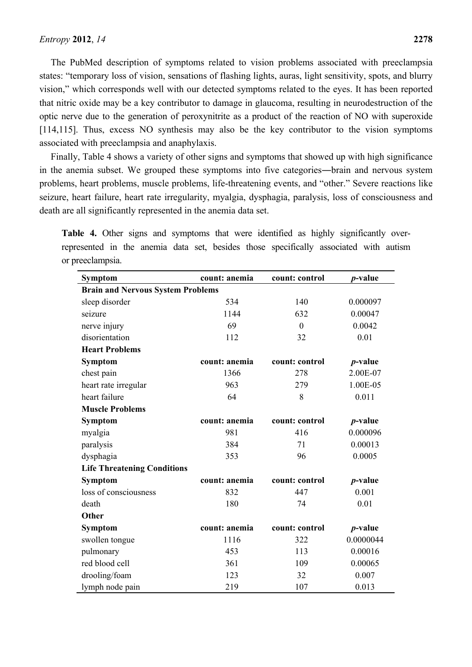The PubMed description of symptoms related to vision problems associated with preeclampsia states: "temporary loss of vision, sensations of flashing lights, auras, light sensitivity, spots, and blurry vision," which corresponds well with our detected symptoms related to the eyes. It has been reported that nitric oxide may be a key contributor to damage in glaucoma, resulting in neurodestruction of the optic nerve due to the generation of peroxynitrite as a product of the reaction of NO with superoxide [114,115]. Thus, excess NO synthesis may also be the key contributor to the vision symptoms associated with preeclampsia and anaphylaxis.

Finally, Table 4 shows a variety of other signs and symptoms that showed up with high significance in the anemia subset. We grouped these symptoms into five categories―brain and nervous system problems, heart problems, muscle problems, life-threatening events, and "other." Severe reactions like seizure, heart failure, heart rate irregularity, myalgia, dysphagia, paralysis, loss of consciousness and death are all significantly represented in the anemia data set.

**Table 4.** Other signs and symptoms that were identified as highly significantly overrepresented in the anemia data set, besides those specifically associated with autism or preeclampsia.

| Symptom                                  | count: anemia | count: control | <i>p</i> -value |
|------------------------------------------|---------------|----------------|-----------------|
| <b>Brain and Nervous System Problems</b> |               |                |                 |
| sleep disorder                           | 534           | 140            | 0.000097        |
| seizure                                  | 1144          | 632            | 0.00047         |
| nerve injury                             | 69            | $\theta$       | 0.0042          |
| disorientation                           | 112           | 32             | 0.01            |
| <b>Heart Problems</b>                    |               |                |                 |
| Symptom                                  | count: anemia | count: control | $p$ -value      |
| chest pain                               | 1366          | 278            | 2.00E-07        |
| heart rate irregular                     | 963           | 279            | 1.00E-05        |
| heart failure                            | 64            | 8              | 0.011           |
| <b>Muscle Problems</b>                   |               |                |                 |
| Symptom                                  | count: anemia | count: control | $p$ -value      |
| myalgia                                  | 981           | 416            | 0.000096        |
| paralysis                                | 384           | 71             | 0.00013         |
| dysphagia                                | 353           | 96             | 0.0005          |
| <b>Life Threatening Conditions</b>       |               |                |                 |
| Symptom                                  | count: anemia | count: control | $p$ -value      |
| loss of consciousness                    | 832           | 447            | 0.001           |
| death                                    | 180           | 74             | 0.01            |
| <b>Other</b>                             |               |                |                 |
| Symptom                                  | count: anemia | count: control | $p$ -value      |
| swollen tongue                           | 1116          | 322            | 0.0000044       |
| pulmonary                                | 453           | 113            | 0.00016         |
| red blood cell                           | 361           | 109            | 0.00065         |
| drooling/foam                            | 123           | 32             | 0.007           |
| lymph node pain                          | 219           | 107            | 0.013           |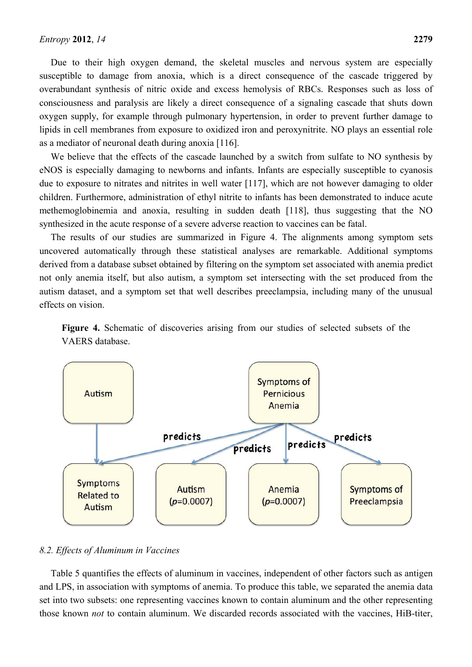Due to their high oxygen demand, the skeletal muscles and nervous system are especially susceptible to damage from anoxia, which is a direct consequence of the cascade triggered by overabundant synthesis of nitric oxide and excess hemolysis of RBCs. Responses such as loss of consciousness and paralysis are likely a direct consequence of a signaling cascade that shuts down oxygen supply, for example through pulmonary hypertension, in order to prevent further damage to lipids in cell membranes from exposure to oxidized iron and peroxynitrite. NO plays an essential role as a mediator of neuronal death during anoxia [116].

We believe that the effects of the cascade launched by a switch from sulfate to NO synthesis by eNOS is especially damaging to newborns and infants. Infants are especially susceptible to cyanosis due to exposure to nitrates and nitrites in well water [117], which are not however damaging to older children. Furthermore, administration of ethyl nitrite to infants has been demonstrated to induce acute methemoglobinemia and anoxia, resulting in sudden death [118], thus suggesting that the NO synthesized in the acute response of a severe adverse reaction to vaccines can be fatal.

The results of our studies are summarized in Figure 4. The alignments among symptom sets uncovered automatically through these statistical analyses are remarkable. Additional symptoms derived from a database subset obtained by filtering on the symptom set associated with anemia predict not only anemia itself, but also autism, a symptom set intersecting with the set produced from the autism dataset, and a symptom set that well describes preeclampsia, including many of the unusual effects on vision.

**Figure 4.** Schematic of discoveries arising from our studies of selected subsets of the VAERS database.



#### *8.2. Effects of Aluminum in Vaccines*

Table 5 quantifies the effects of aluminum in vaccines, independent of other factors such as antigen and LPS, in association with symptoms of anemia. To produce this table, we separated the anemia data set into two subsets: one representing vaccines known to contain aluminum and the other representing those known *not* to contain aluminum. We discarded records associated with the vaccines, HiB-titer,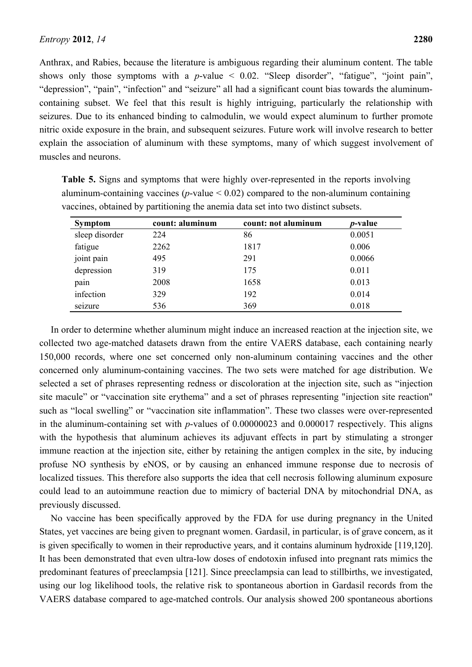Anthrax, and Rabies, because the literature is ambiguous regarding their aluminum content. The table shows only those symptoms with a *p*-value < 0.02. "Sleep disorder", "fatigue", "joint pain", "depression", "pain", "infection" and "seizure" all had a significant count bias towards the aluminumcontaining subset. We feel that this result is highly intriguing, particularly the relationship with seizures. Due to its enhanced binding to calmodulin, we would expect aluminum to further promote nitric oxide exposure in the brain, and subsequent seizures. Future work will involve research to better explain the association of aluminum with these symptoms, many of which suggest involvement of muscles and neurons.

| <b>Symptom</b> | count: aluminum | count: not aluminum | <i>p</i> -value |
|----------------|-----------------|---------------------|-----------------|
| sleep disorder | 224             | 86                  | 0.0051          |
| fatigue        | 2262            | 1817                | 0.006           |
| joint pain     | 495             | 291                 | 0.0066          |
| depression     | 319             | 175                 | 0.011           |
| pain           | 2008            | 1658                | 0.013           |
| infection      | 329             | 192                 | 0.014           |
| seizure        | 536             | 369                 | 0.018           |

**Table 5.** Signs and symptoms that were highly over-represented in the reports involving aluminum-containing vaccines ( $p$ -value  $\leq$  0.02) compared to the non-aluminum containing vaccines, obtained by partitioning the anemia data set into two distinct subsets.

In order to determine whether aluminum might induce an increased reaction at the injection site, we collected two age-matched datasets drawn from the entire VAERS database, each containing nearly 150,000 records, where one set concerned only non-aluminum containing vaccines and the other concerned only aluminum-containing vaccines. The two sets were matched for age distribution. We selected a set of phrases representing redness or discoloration at the injection site, such as "injection site macule" or "vaccination site erythema" and a set of phrases representing "injection site reaction" such as "local swelling" or "vaccination site inflammation". These two classes were over-represented in the aluminum-containing set with *p*-values of 0.00000023 and 0.000017 respectively. This aligns with the hypothesis that aluminum achieves its adjuvant effects in part by stimulating a stronger immune reaction at the injection site, either by retaining the antigen complex in the site, by inducing profuse NO synthesis by eNOS, or by causing an enhanced immune response due to necrosis of localized tissues. This therefore also supports the idea that cell necrosis following aluminum exposure could lead to an autoimmune reaction due to mimicry of bacterial DNA by mitochondrial DNA, as previously discussed.

No vaccine has been specifically approved by the FDA for use during pregnancy in the United States, yet vaccines are being given to pregnant women. Gardasil, in particular, is of grave concern, as it is given specifically to women in their reproductive years, and it contains aluminum hydroxide [119,120]. It has been demonstrated that even ultra-low doses of endotoxin infused into pregnant rats mimics the predominant features of preeclampsia [121]. Since preeclampsia can lead to stillbirths, we investigated, using our log likelihood tools, the relative risk to spontaneous abortion in Gardasil records from the VAERS database compared to age-matched controls. Our analysis showed 200 spontaneous abortions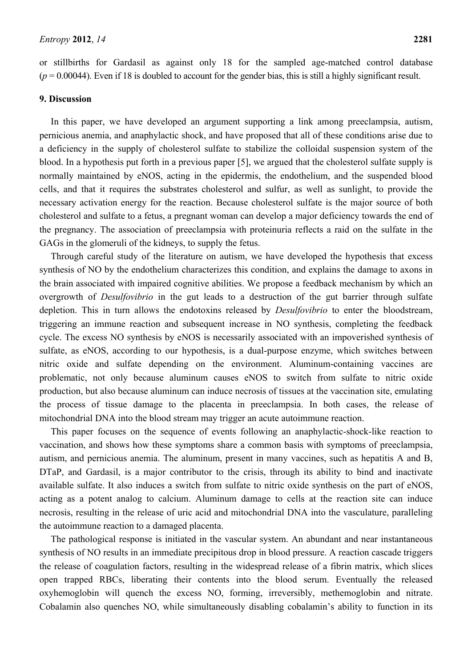or stillbirths for Gardasil as against only 18 for the sampled age-matched control database  $(p = 0.00044)$ . Even if 18 is doubled to account for the gender bias, this is still a highly significant result.

## **9. Discussion**

In this paper, we have developed an argument supporting a link among preeclampsia, autism, pernicious anemia, and anaphylactic shock, and have proposed that all of these conditions arise due to a deficiency in the supply of cholesterol sulfate to stabilize the colloidal suspension system of the blood. In a hypothesis put forth in a previous paper [5], we argued that the cholesterol sulfate supply is normally maintained by eNOS, acting in the epidermis, the endothelium, and the suspended blood cells, and that it requires the substrates cholesterol and sulfur, as well as sunlight, to provide the necessary activation energy for the reaction. Because cholesterol sulfate is the major source of both cholesterol and sulfate to a fetus, a pregnant woman can develop a major deficiency towards the end of the pregnancy. The association of preeclampsia with proteinuria reflects a raid on the sulfate in the GAGs in the glomeruli of the kidneys, to supply the fetus.

Through careful study of the literature on autism, we have developed the hypothesis that excess synthesis of NO by the endothelium characterizes this condition, and explains the damage to axons in the brain associated with impaired cognitive abilities. We propose a feedback mechanism by which an overgrowth of *Desulfovibrio* in the gut leads to a destruction of the gut barrier through sulfate depletion. This in turn allows the endotoxins released by *Desulfovibrio* to enter the bloodstream, triggering an immune reaction and subsequent increase in NO synthesis, completing the feedback cycle. The excess NO synthesis by eNOS is necessarily associated with an impoverished synthesis of sulfate, as eNOS, according to our hypothesis, is a dual-purpose enzyme, which switches between nitric oxide and sulfate depending on the environment. Aluminum-containing vaccines are problematic, not only because aluminum causes eNOS to switch from sulfate to nitric oxide production, but also because aluminum can induce necrosis of tissues at the vaccination site, emulating the process of tissue damage to the placenta in preeclampsia. In both cases, the release of mitochondrial DNA into the blood stream may trigger an acute autoimmune reaction.

This paper focuses on the sequence of events following an anaphylactic-shock-like reaction to vaccination, and shows how these symptoms share a common basis with symptoms of preeclampsia, autism, and pernicious anemia. The aluminum, present in many vaccines, such as hepatitis A and B, DTaP, and Gardasil, is a major contributor to the crisis, through its ability to bind and inactivate available sulfate. It also induces a switch from sulfate to nitric oxide synthesis on the part of eNOS, acting as a potent analog to calcium. Aluminum damage to cells at the reaction site can induce necrosis, resulting in the release of uric acid and mitochondrial DNA into the vasculature, paralleling the autoimmune reaction to a damaged placenta.

The pathological response is initiated in the vascular system. An abundant and near instantaneous synthesis of NO results in an immediate precipitous drop in blood pressure. A reaction cascade triggers the release of coagulation factors, resulting in the widespread release of a fibrin matrix, which slices open trapped RBCs, liberating their contents into the blood serum. Eventually the released oxyhemoglobin will quench the excess NO, forming, irreversibly, methemoglobin and nitrate. Cobalamin also quenches NO, while simultaneously disabling cobalamin's ability to function in its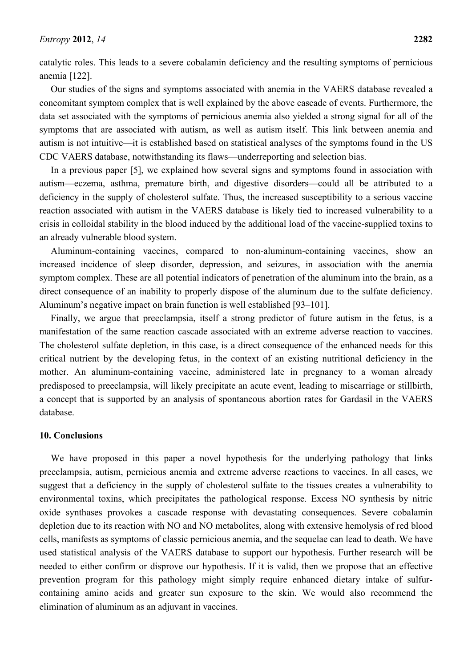catalytic roles. This leads to a severe cobalamin deficiency and the resulting symptoms of pernicious anemia [122].

Our studies of the signs and symptoms associated with anemia in the VAERS database revealed a concomitant symptom complex that is well explained by the above cascade of events. Furthermore, the data set associated with the symptoms of pernicious anemia also yielded a strong signal for all of the symptoms that are associated with autism, as well as autism itself. This link between anemia and autism is not intuitive—it is established based on statistical analyses of the symptoms found in the US CDC VAERS database, notwithstanding its flaws—underreporting and selection bias.

In a previous paper [5], we explained how several signs and symptoms found in association with autism—eczema, asthma, premature birth, and digestive disorders—could all be attributed to a deficiency in the supply of cholesterol sulfate. Thus, the increased susceptibility to a serious vaccine reaction associated with autism in the VAERS database is likely tied to increased vulnerability to a crisis in colloidal stability in the blood induced by the additional load of the vaccine-supplied toxins to an already vulnerable blood system.

Aluminum-containing vaccines, compared to non-aluminum-containing vaccines, show an increased incidence of sleep disorder, depression, and seizures, in association with the anemia symptom complex. These are all potential indicators of penetration of the aluminum into the brain, as a direct consequence of an inability to properly dispose of the aluminum due to the sulfate deficiency. Aluminum's negative impact on brain function is well established [93–101].

Finally, we argue that preeclampsia, itself a strong predictor of future autism in the fetus, is a manifestation of the same reaction cascade associated with an extreme adverse reaction to vaccines. The cholesterol sulfate depletion, in this case, is a direct consequence of the enhanced needs for this critical nutrient by the developing fetus, in the context of an existing nutritional deficiency in the mother. An aluminum-containing vaccine, administered late in pregnancy to a woman already predisposed to preeclampsia, will likely precipitate an acute event, leading to miscarriage or stillbirth, a concept that is supported by an analysis of spontaneous abortion rates for Gardasil in the VAERS database.

#### **10. Conclusions**

We have proposed in this paper a novel hypothesis for the underlying pathology that links preeclampsia, autism, pernicious anemia and extreme adverse reactions to vaccines. In all cases, we suggest that a deficiency in the supply of cholesterol sulfate to the tissues creates a vulnerability to environmental toxins, which precipitates the pathological response. Excess NO synthesis by nitric oxide synthases provokes a cascade response with devastating consequences. Severe cobalamin depletion due to its reaction with NO and NO metabolites, along with extensive hemolysis of red blood cells, manifests as symptoms of classic pernicious anemia, and the sequelae can lead to death. We have used statistical analysis of the VAERS database to support our hypothesis. Further research will be needed to either confirm or disprove our hypothesis. If it is valid, then we propose that an effective prevention program for this pathology might simply require enhanced dietary intake of sulfurcontaining amino acids and greater sun exposure to the skin. We would also recommend the elimination of aluminum as an adjuvant in vaccines.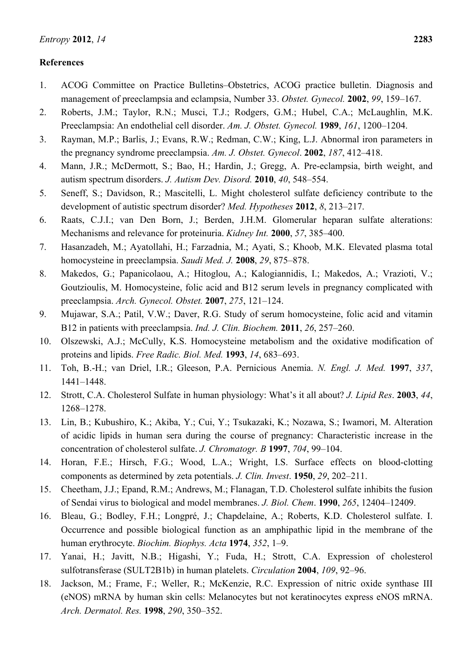## **References**

- 1. ACOG Committee on Practice Bulletins–Obstetrics, ACOG practice bulletin. Diagnosis and management of preeclampsia and eclampsia, Number 33. *Obstet. Gynecol.* **2002**, *99*, 159–167.
- 2. Roberts, J.M.; Taylor, R.N.; Musci, T.J.; Rodgers, G.M.; Hubel, C.A.; McLaughlin, M.K. Preeclampsia: An endothelial cell disorder. *Am. J. Obstet. Gynecol.* **1989**, *161*, 1200–1204.
- 3. Rayman, M.P.; Barlis, J.; Evans, R.W.; Redman, C.W.; King, L.J. Abnormal iron parameters in the pregnancy syndrome preeclampsia. *Am. J. Obstet. Gynecol*. **2002**, *187*, 412–418.
- 4. Mann, J.R.; McDermott, S.; Bao, H.; Hardin, J.; Gregg, A. Pre-eclampsia, birth weight, and autism spectrum disorders. *J. Autism Dev. Disord.* **2010**, *40*, 548–554.
- 5. Seneff, S.; Davidson, R.; Mascitelli, L. Might cholesterol sulfate deficiency contribute to the development of autistic spectrum disorder? *Med. Hypotheses* **2012**, *8*, 213–217.
- 6. Raats, C.J.I.; van Den Born, J.; Berden, J.H.M. Glomerular heparan sulfate alterations: Mechanisms and relevance for proteinuria. *Kidney Int.* **2000**, *57*, 385–400.
- 7. Hasanzadeh, M.; Ayatollahi, H.; Farzadnia, M.; Ayati, S.; Khoob, M.K. Elevated plasma total homocysteine in preeclampsia. *Saudi Med. J.* **2008**, *29*, 875–878.
- 8. Makedos, G.; Papanicolaou, A.; Hitoglou, A.; Kalogiannidis, I.; Makedos, A.; Vrazioti, V.; Goutzioulis, M. Homocysteine, folic acid and B12 serum levels in pregnancy complicated with preeclampsia. *Arch. Gynecol. Obstet.* **2007**, *275*, 121–124.
- 9. Mujawar, S.A.; Patil, V.W.; Daver, R.G. Study of serum homocysteine, folic acid and vitamin B12 in patients with preeclampsia. *Ind. J. Clin. Biochem.* **2011**, *26*, 257–260.
- 10. Olszewski, A.J.; McCully, K.S. Homocysteine metabolism and the oxidative modification of proteins and lipids. *Free Radic. Biol. Med.* **1993**, *14*, 683–693.
- 11. Toh, B.-H.; van Driel, I.R.; Gleeson, P.A. Pernicious Anemia. *N. Engl. J. Med.* **1997**, *337*, 1441–1448.
- 12. Strott, C.A. Cholesterol Sulfate in human physiology: What's it all about? *J. Lipid Res*. **2003**, *44*, 1268–1278.
- 13. Lin, B.; Kubushiro, K.; Akiba, Y.; Cui, Y.; Tsukazaki, K.; Nozawa, S.; Iwamori, M. Alteration of acidic lipids in human sera during the course of pregnancy: Characteristic increase in the concentration of cholesterol sulfate. *J. Chromatogr. B* **1997**, *704*, 99–104.
- 14. Horan, F.E.; Hirsch, F.G.; Wood, L.A.; Wright, I.S. Surface effects on blood-clotting components as determined by zeta potentials. *J. Clin. Invest*. **1950**, *29*, 202–211.
- 15. Cheetham, J.J.; Epand, R.M.; Andrews, M.; Flanagan, T.D. Cholesterol sulfate inhibits the fusion of Sendai virus to biological and model membranes. *J. Biol. Chem*. **1990**, *265*, 12404–12409.
- 16. Bleau, G.; Bodley, F.H.; Longpré, J.; Chapdelaine, A.; Roberts, K.D. Cholesterol sulfate. I. Occurrence and possible biological function as an amphipathic lipid in the membrane of the human erythrocyte. *Biochim. Biophys. Acta* **1974**, *352*, 1–9.
- 17. Yanai, H.; Javitt, N.B.; Higashi, Y.; Fuda, H.; Strott, C.A. Expression of cholesterol sulfotransferase (SULT2B1b) in human platelets. *Circulation* **2004**, *109*, 92–96.
- 18. Jackson, M.; Frame, F.; Weller, R.; McKenzie, R.C. Expression of nitric oxide synthase III (eNOS) mRNA by human skin cells: Melanocytes but not keratinocytes express eNOS mRNA. *Arch. Dermatol. Res.* **1998**, *290*, 350–352.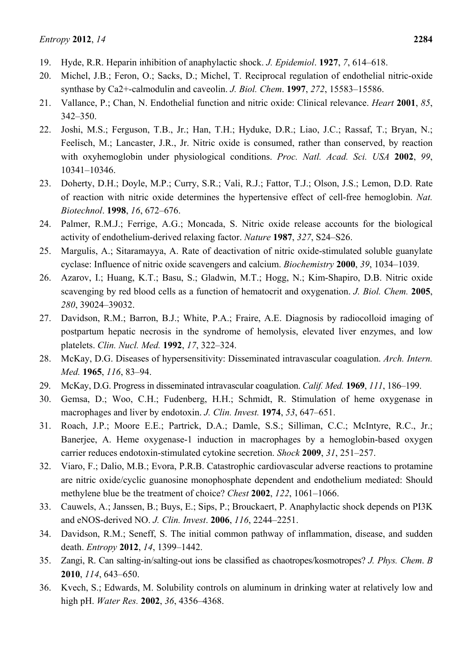- 19. Hyde, R.R. Heparin inhibition of anaphylactic shock. *J. Epidemiol*. **1927**, *7*, 614–618.
- 20. Michel, J.B.; Feron, O.; Sacks, D.; Michel, T. Reciprocal regulation of endothelial nitric-oxide synthase by Ca2+-calmodulin and caveolin. *J. Biol. Chem*. **1997**, *272*, 15583–15586.
- 21. Vallance, P.; Chan, N. Endothelial function and nitric oxide: Clinical relevance. *Heart* **2001**, *85*, 342–350.
- 22. Joshi, M.S.; Ferguson, T.B., Jr.; Han, T.H.; Hyduke, D.R.; Liao, J.C.; Rassaf, T.; Bryan, N.; Feelisch, M.; Lancaster, J.R., Jr. Nitric oxide is consumed, rather than conserved, by reaction with oxyhemoglobin under physiological conditions. *Proc. Natl. Acad. Sci. USA* **2002**, *99*, 10341–10346.
- 23. Doherty, D.H.; Doyle, M.P.; Curry, S.R.; Vali, R.J.; Fattor, T.J.; Olson, J.S.; Lemon, D.D. Rate of reaction with nitric oxide determines the hypertensive effect of cell-free hemoglobin. *Nat. Biotechnol*. **1998**, *16*, 672–676.
- 24. Palmer, R.M.J.; Ferrige, A.G.; Moncada, S. Nitric oxide release accounts for the biological activity of endothelium-derived relaxing factor. *Nature* **1987**, *327*, S24–S26.
- 25. Margulis, A.; Sitaramayya, A. Rate of deactivation of nitric oxide-stimulated soluble guanylate cyclase: Influence of nitric oxide scavengers and calcium. *Biochemistry* **2000**, *39*, 1034–1039.
- 26. Azarov, I.; Huang, K.T.; Basu, S.; Gladwin, M.T.; Hogg, N.; Kim-Shapiro, D.B. Nitric oxide scavenging by red blood cells as a function of hematocrit and oxygenation. *J. Biol. Chem.* **2005**, *280*, 39024–39032.
- 27. Davidson, R.M.; Barron, B.J.; White, P.A.; Fraire, A.E. Diagnosis by radiocolloid imaging of postpartum hepatic necrosis in the syndrome of hemolysis, elevated liver enzymes, and low platelets. *Clin. Nucl. Med.* **1992**, *17*, 322–324.
- 28. McKay, D.G. Diseases of hypersensitivity: Disseminated intravascular coagulation. *Arch. Intern. Med.* **1965**, *116*, 83–94.
- 29. McKay, D.G. Progress in disseminated intravascular coagulation. *Calif. Med.* **1969**, *111*, 186–199.
- 30. Gemsa, D.; Woo, C.H.; Fudenberg, H.H.; Schmidt, R. Stimulation of heme oxygenase in macrophages and liver by endotoxin. *J. Clin. Invest.* **1974**, *53*, 647–651.
- 31. Roach, J.P.; Moore E.E.; Partrick, D.A.; Damle, S.S.; Silliman, C.C.; McIntyre, R.C., Jr.; Banerjee, A. Heme oxygenase-1 induction in macrophages by a hemoglobin-based oxygen carrier reduces endotoxin-stimulated cytokine secretion. *Shock* **2009**, *31*, 251–257.
- 32. Viaro, F.; Dalio, M.B.; Evora, P.R.B. Catastrophic cardiovascular adverse reactions to protamine are nitric oxide/cyclic guanosine monophosphate dependent and endothelium mediated: Should methylene blue be the treatment of choice? *Chest* **2002**, *122*, 1061–1066.
- 33. Cauwels, A.; Janssen, B.; Buys, E.; Sips, P.; Brouckaert, P. Anaphylactic shock depends on PI3K and eNOS-derived NO. *J. Clin. Invest*. **2006**, *116*, 2244–2251.
- 34. Davidson, R.M.; Seneff, S. The initial common pathway of inflammation, disease, and sudden death. *Entropy* **2012**, *14*, 1399–1442.
- 35. Zangi, R. Can salting-in/salting-out ions be classified as chaotropes/kosmotropes? *J. Phys. Chem*. *B* **2010**, *114*, 643–650.
- 36. Kvech, S.; Edwards, M. Solubility controls on aluminum in drinking water at relatively low and high pH. *Water Res.* **2002**, *36*, 4356–4368.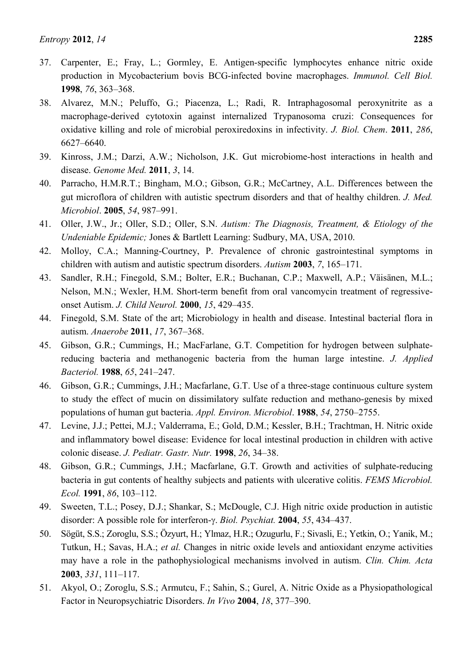- 37. Carpenter, E.; Fray, L.; Gormley, E. Antigen-specific lymphocytes enhance nitric oxide production in Mycobacterium bovis BCG-infected bovine macrophages. *Immunol. Cell Biol.* **1998**, *76*, 363–368.
- 38. Alvarez, M.N.; Peluffo, G.; Piacenza, L.; Radi, R. Intraphagosomal peroxynitrite as a macrophage-derived cytotoxin against internalized Trypanosoma cruzi: Consequences for oxidative killing and role of microbial peroxiredoxins in infectivity. *J. Biol. Chem*. **2011**, *286*, 6627–6640.
- 39. Kinross, J.M.; Darzi, A.W.; Nicholson, J.K. Gut microbiome-host interactions in health and disease. *Genome Med.* **2011**, *3*, 14.
- 40. Parracho, H.M.R.T.; Bingham, M.O.; Gibson, G.R.; McCartney, A.L. Differences between the gut microflora of children with autistic spectrum disorders and that of healthy children. *J. Med. Microbiol*. **2005**, *54*, 987–991.
- 41. Oller, J.W., Jr.; Oller, S.D.; Oller, S.N. *Autism: The Diagnosis, Treatment, & Etiology of the Undeniable Epidemic;* Jones & Bartlett Learning: Sudbury, MA, USA, 2010.
- 42. Molloy, C.A.; Manning-Courtney, P. Prevalence of chronic gastrointestinal symptoms in children with autism and autistic spectrum disorders. *Autism* **2003**, *7*, 165–171.
- 43. Sandler, R.H.; Finegold, S.M.; Bolter, E.R.; Buchanan, C.P.; Maxwell, A.P.; Väisänen, M.L.; Nelson, M.N.; Wexler, H.M. Short-term benefit from oral vancomycin treatment of regressiveonset Autism. *J. Child Neurol.* **2000**, *15*, 429–435.
- 44. Finegold, S.M. State of the art; Microbiology in health and disease. Intestinal bacterial flora in autism. *Anaerobe* **2011**, *17*, 367–368.
- 45. Gibson, G.R.; Cummings, H.; MacFarlane, G.T. Competition for hydrogen between sulphatereducing bacteria and methanogenic bacteria from the human large intestine. *J. Applied Bacteriol.* **1988**, *65*, 241–247.
- 46. Gibson, G.R.; Cummings, J.H.; Macfarlane, G.T. Use of a three-stage continuous culture system to study the effect of mucin on dissimilatory sulfate reduction and methano-genesis by mixed populations of human gut bacteria. *Appl. Environ. Microbiol*. **1988**, *54*, 2750–2755.
- 47. Levine, J.J.; Pettei, M.J.; Valderrama, E.; Gold, D.M.; Kessler, B.H.; Trachtman, H. Nitric oxide and inflammatory bowel disease: Evidence for local intestinal production in children with active colonic disease. *J. Pediatr. Gastr. Nutr.* **1998**, *26*, 34–38.
- 48. Gibson, G.R.; Cummings, J.H.; Macfarlane, G.T. Growth and activities of sulphate-reducing bacteria in gut contents of healthy subjects and patients with ulcerative colitis. *FEMS Microbiol. Ecol.* **1991**, *86*, 103–112.
- 49. Sweeten, T.L.; Posey, D.J.; Shankar, S.; McDougle, C.J. High nitric oxide production in autistic disorder: A possible role for interferon-γ. *Biol. Psychiat.* **2004**, *55*, 434–437.
- 50. Sögüt, S.S.; Zoroglu, S.S.; Özyurt, H.; Ylmaz, H.R.; Ozugurlu, F.; Sivasli, E.; Yetkin, O.; Yanik, M.; Tutkun, H.; Savas, H.A.; *et al.* Changes in nitric oxide levels and antioxidant enzyme activities may have a role in the pathophysiological mechanisms involved in autism. *Clin. Chim. Acta* **2003**, *331*, 111–117.
- 51. Akyol, O.; Zoroglu, S.S.; Armutcu, F.; Sahin, S.; Gurel, A. Nitric Oxide as a Physiopathological Factor in Neuropsychiatric Disorders. *In Vivo* **2004**, *18*, 377–390.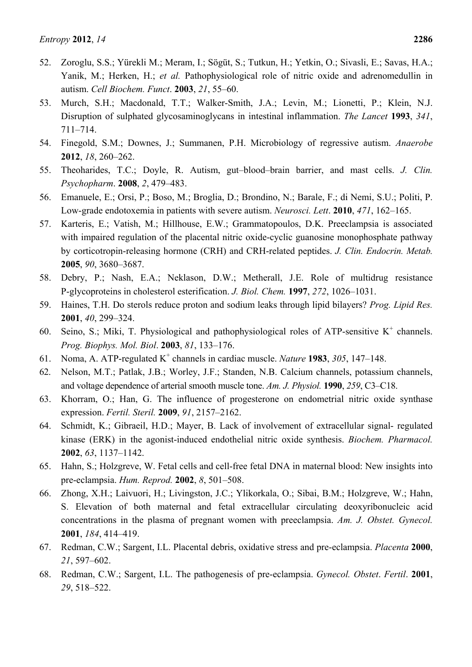- 52. Zoroglu, S.S.; Yürekli M.; Meram, I.; Sögüt, S.; Tutkun, H.; Yetkin, O.; Sivasli, E.; Savas, H.A.; Yanik, M.; Herken, H.; *et al.* Pathophysiological role of nitric oxide and adrenomedullin in autism. *Cell Biochem. Funct*. **2003**, *21*, 55–60.
- 53. Murch, S.H.; Macdonald, T.T.; Walker-Smith, J.A.; Levin, M.; Lionetti, P.; Klein, N.J. Disruption of sulphated glycosaminoglycans in intestinal inflammation. *The Lancet* **1993**, *341*, 711–714.
- 54. Finegold, S.M.; Downes, J.; Summanen, P.H. Microbiology of regressive autism. *Anaerobe* **2012**, *18*, 260–262.
- 55. Theoharides, T.C.; Doyle, R. Autism, gut–blood–brain barrier, and mast cells. *J. Clin. Psychopharm*. **2008**, *2*, 479–483.
- 56. Emanuele, E.; Orsi, P.; Boso, M.; Broglia, D.; Brondino, N.; Barale, F.; di Nemi, S.U.; Politi, P. Low-grade endotoxemia in patients with severe autism. *Neurosci. Lett*. **2010**, *471*, 162–165.
- 57. Karteris, E.; Vatish, M.; Hillhouse, E.W.; Grammatopoulos, D.K. Preeclampsia is associated with impaired regulation of the placental nitric oxide-cyclic guanosine monophosphate pathway by corticotropin-releasing hormone (CRH) and CRH-related peptides. *J. Clin. Endocrin. Metab.* **2005**, *90*, 3680–3687.
- 58. Debry, P.; Nash, E.A.; Neklason, D.W.; Metherall, J.E. Role of multidrug resistance P-glycoproteins in cholesterol esterification. *J. Biol. Chem.* **1997**, *272*, 1026–1031.
- 59. Haines, T.H. Do sterols reduce proton and sodium leaks through lipid bilayers? *Prog. Lipid Res.* **2001**, *40*, 299–324.
- 60. Seino, S.; Miki, T. Physiological and pathophysiological roles of ATP-sensitive  $K^+$  channels. *Prog. Biophys. Mol. Biol*. **2003**, *81*, 133–176.
- 61. Noma, A. ATP-regulated K<sup>+</sup> channels in cardiac muscle. *Nature* 1983, 305, 147–148.
- 62. Nelson, M.T.; Patlak, J.B.; Worley, J.F.; Standen, N.B. Calcium channels, potassium channels, and voltage dependence of arterial smooth muscle tone. *Am. J. Physiol.* **1990**, *259*, C3–C18.
- 63. Khorram, O.; Han, G. The influence of progesterone on endometrial nitric oxide synthase expression. *Fertil. Steril.* **2009**, *91*, 2157–2162.
- 64. Schmidt, K.; Gibraeil, H.D.; Mayer, B. Lack of involvement of extracellular signal- regulated kinase (ERK) in the agonist-induced endothelial nitric oxide synthesis. *Biochem. Pharmacol.*  **2002**, *63*, 1137–1142.
- 65. Hahn, S.; Holzgreve, W. Fetal cells and cell-free fetal DNA in maternal blood: New insights into pre-eclampsia. *Hum. Reprod.* **2002**, *8*, 501–508.
- 66. Zhong, X.H.; Laivuori, H.; Livingston, J.C.; Ylikorkala, O.; Sibai, B.M.; Holzgreve, W.; Hahn, S. Elevation of both maternal and fetal extracellular circulating deoxyribonucleic acid concentrations in the plasma of pregnant women with preeclampsia. *Am. J. Obstet. Gynecol.* **2001**, *184*, 414–419.
- 67. Redman, C.W.; Sargent, I.L. Placental debris, oxidative stress and pre-eclampsia. *Placenta* **2000**, *21*, 597–602.
- 68. Redman, C.W.; Sargent, I.L. The pathogenesis of pre-eclampsia. *Gynecol. Obstet*. *Fertil*. **2001**, *29*, 518–522.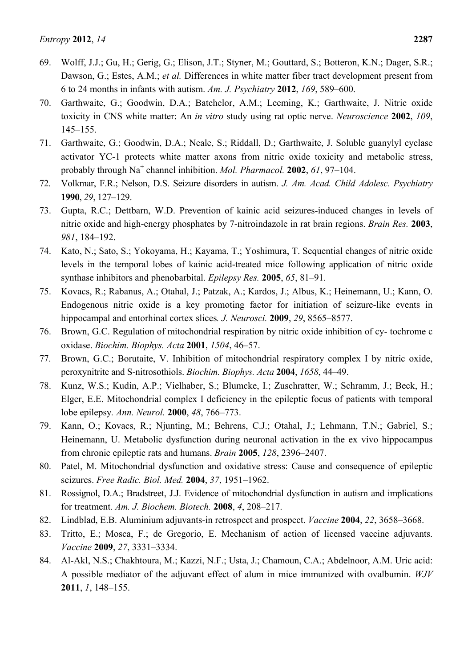- 69. Wolff, J.J.; Gu, H.; Gerig, G.; Elison, J.T.; Styner, M.; Gouttard, S.; Botteron, K.N.; Dager, S.R.; Dawson, G.; Estes, A.M.; *et al.* Differences in white matter fiber tract development present from 6 to 24 months in infants with autism. *Am. J. Psychiatry* **2012**, *169*, 589–600.
- 70. Garthwaite, G.; Goodwin, D.A.; Batchelor, A.M.; Leeming, K.; Garthwaite, J. Nitric oxide toxicity in CNS white matter: An *in vitro* study using rat optic nerve. *Neuroscience* **2002**, *109*, 145–155.
- 71. Garthwaite, G.; Goodwin, D.A.; Neale, S.; Riddall, D.; Garthwaite, J. Soluble guanylyl cyclase activator YC-1 protects white matter axons from nitric oxide toxicity and metabolic stress, probably through Na<sup>+</sup> channel inhibition. *Mol. Pharmacol.* **2002**, *61*, 97–104.
- 72. Volkmar, F.R.; Nelson, D.S. Seizure disorders in autism. *J. Am. Acad. Child Adolesc. Psychiatry*  **1990**, *29*, 127–129.
- 73. Gupta, R.C.; Dettbarn, W.D. Prevention of kainic acid seizures-induced changes in levels of nitric oxide and high-energy phosphates by 7-nitroindazole in rat brain regions. *Brain Res.* **2003**, *981*, 184–192.
- 74. Kato, N.; Sato, S.; Yokoyama, H.; Kayama, T.; Yoshimura, T. Sequential changes of nitric oxide levels in the temporal lobes of kainic acid-treated mice following application of nitric oxide synthase inhibitors and phenobarbital. *Epilepsy Res.* **2005**, *65*, 81–91.
- 75. Kovacs, R.; Rabanus, A.; Otahal, J.; Patzak, A.; Kardos, J.; Albus, K.; Heinemann, U.; Kann, O. Endogenous nitric oxide is a key promoting factor for initiation of seizure-like events in hippocampal and entorhinal cortex slices*. J. Neurosci.* **2009**, *29*, 8565–8577.
- 76. Brown, G.C. Regulation of mitochondrial respiration by nitric oxide inhibition of cy- tochrome c oxidase. *Biochim. Biophys. Acta* **2001**, *1504*, 46–57.
- 77. Brown, G.C.; Borutaite, V. Inhibition of mitochondrial respiratory complex I by nitric oxide, peroxynitrite and S-nitrosothiols. *Biochim. Biophys. Acta* **2004**, *1658*, 44–49.
- 78. Kunz, W.S.; Kudin, A.P.; Vielhaber, S.; Blumcke, I.; Zuschratter, W.; Schramm, J.; Beck, H.; Elger, E.E. Mitochondrial complex I deficiency in the epileptic focus of patients with temporal lobe epilepsy*. Ann. Neurol.* **2000**, *48*, 766–773.
- 79. Kann, O.; Kovacs, R.; Njunting, M.; Behrens, C.J.; Otahal, J.; Lehmann, T.N.; Gabriel, S.; Heinemann, U. Metabolic dysfunction during neuronal activation in the ex vivo hippocampus from chronic epileptic rats and humans. *Brain* **2005**, *128*, 2396–2407.
- 80. Patel, M. Mitochondrial dysfunction and oxidative stress: Cause and consequence of epileptic seizures. *Free Radic. Biol. Med.* **2004**, *37*, 1951–1962.
- 81. Rossignol, D.A.; Bradstreet, J.J. Evidence of mitochondrial dysfunction in autism and implications for treatment. *Am. J. Biochem. Biotech.* **2008**, *4*, 208–217.
- 82. Lindblad, E.B. Aluminium adjuvants-in retrospect and prospect. *Vaccine* **2004**, *22*, 3658–3668.
- 83. Tritto, E.; Mosca, F.; de Gregorio, E. Mechanism of action of licensed vaccine adjuvants. *Vaccine* **2009**, *27*, 3331–3334.
- 84. Al-Akl, N.S.; Chakhtoura, M.; Kazzi, N.F.; Usta, J.; Chamoun, C.A.; Abdelnoor, A.M. Uric acid: A possible mediator of the adjuvant effect of alum in mice immunized with ovalbumin. *WJV*  **2011**, *1*, 148–155.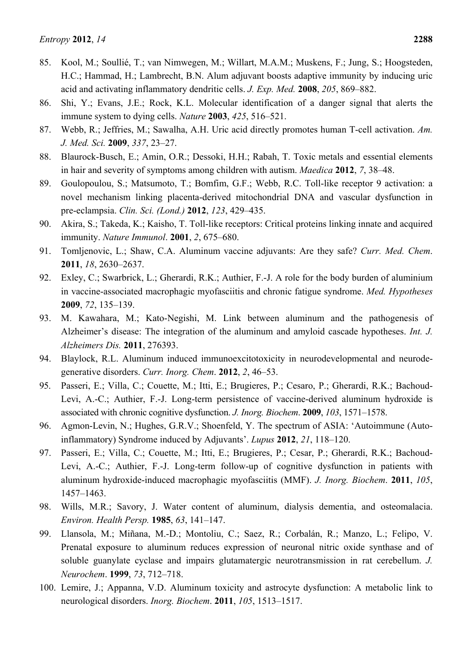- 85. Kool, M.; Soullié, T.; van Nimwegen, M.; Willart, M.A.M.; Muskens, F.; Jung, S.; Hoogsteden, H.C.; Hammad, H.; Lambrecht, B.N. Alum adjuvant boosts adaptive immunity by inducing uric acid and activating inflammatory dendritic cells. *J. Exp. Med.* **2008**, *205*, 869–882.
- 86. Shi, Y.; Evans, J.E.; Rock, K.L. Molecular identification of a danger signal that alerts the immune system to dying cells. *Nature* **2003**, *425*, 516–521.
- 87. Webb, R.; Jeffries, M.; Sawalha, A.H. Uric acid directly promotes human T-cell activation. *Am. J. Med. Sci.* **2009**, *337*, 23–27.
- 88. Blaurock-Busch, E.; Amin, O.R.; Dessoki, H.H.; Rabah, T. Toxic metals and essential elements in hair and severity of symptoms among children with autism. *Maedica* **2012**, *7*, 38–48.
- 89. Goulopoulou, S.; Matsumoto, T.; Bomfim, G.F.; Webb, R.C. Toll-like receptor 9 activation: a novel mechanism linking placenta-derived mitochondrial DNA and vascular dysfunction in pre-eclampsia. *Clin. Sci. (Lond.)* **2012**, *123*, 429–435.
- 90. Akira, S.; Takeda, K.; Kaisho, T. Toll-like receptors: Critical proteins linking innate and acquired immunity. *Nature Immunol*. **2001**, *2*, 675–680.
- 91. Tomljenovic, L.; Shaw, C.A. Aluminum vaccine adjuvants: Are they safe? *Curr. Med. Chem*. **2011**, *18*, 2630–2637.
- 92. Exley, C.; Swarbrick, L.; Gherardi, R.K.; Authier, F.-J. A role for the body burden of aluminium in vaccine-associated macrophagic myofasciitis and chronic fatigue syndrome. *Med. Hypotheses*  **2009**, *72*, 135–139.
- 93. M. Kawahara, M.; Kato-Negishi, M. Link between aluminum and the pathogenesis of Alzheimer's disease: The integration of the aluminum and amyloid cascade hypotheses. *Int. J. Alzheimers Dis.* **2011**, 276393.
- 94. Blaylock, R.L. Aluminum induced immunoexcitotoxicity in neurodevelopmental and neurodegenerative disorders. *Curr. Inorg. Chem*. **2012**, *2*, 46–53.
- 95. Passeri, E.; Villa, C.; Couette, M.; Itti, E.; Brugieres, P.; Cesaro, P.; Gherardi, R.K.; Bachoud-Levi, A.-C.; Authier, F.-J. Long-term persistence of vaccine-derived aluminum hydroxide is associated with chronic cognitive dysfunction. *J. Inorg. Biochem*. **2009**, *103*, 1571–1578.
- 96. Agmon-Levin, N.; Hughes, G.R.V.; Shoenfeld, Y. The spectrum of ASIA: 'Autoimmune (Autoinflammatory) Syndrome induced by Adjuvants'. *Lupus* **2012**, *21*, 118–120.
- 97. Passeri, E.; Villa, C.; Couette, M.; Itti, E.; Brugieres, P.; Cesar, P.; Gherardi, R.K.; Bachoud-Levi, A.-C.; Authier, F.-J. Long-term follow-up of cognitive dysfunction in patients with aluminum hydroxide-induced macrophagic myofasciitis (MMF). *J. Inorg. Biochem*. **2011**, *105*, 1457–1463.
- 98. Wills, M.R.; Savory, J. Water content of aluminum, dialysis dementia, and osteomalacia. *Environ. Health Persp.* **1985**, *63*, 141–147.
- 99. Llansola, M.; Miñana, M.-D.; Montoliu, C.; Saez, R.; Corbalán, R.; Manzo, L.; Felipo, V. Prenatal exposure to aluminum reduces expression of neuronal nitric oxide synthase and of soluble guanylate cyclase and impairs glutamatergic neurotransmission in rat cerebellum. *J. Neurochem*. **1999**, *73*, 712–718.
- 100. Lemire, J.; Appanna, V.D. Aluminum toxicity and astrocyte dysfunction: A metabolic link to neurological disorders. *Inorg. Biochem*. **2011**, *105*, 1513–1517.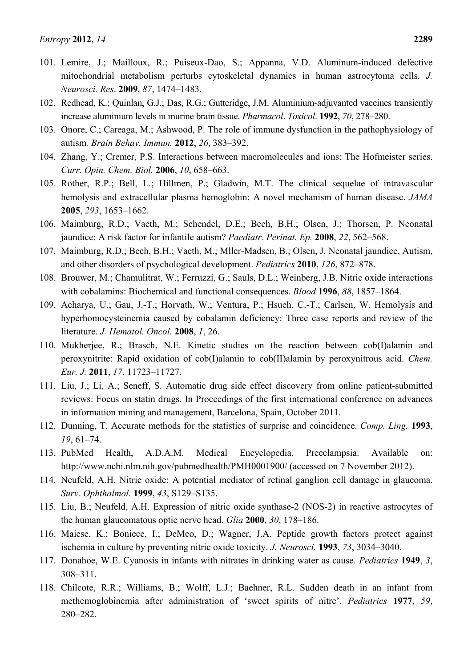- 101. Lemire, J.; Mailloux, R.; Puiseux-Dao, S.; Appanna, V.D. Aluminum-induced defective mitochondrial metabolism perturbs cytoskeletal dynamics in human astrocytoma cells. *J. Neurosci. Res*. **2009**, *87*, 1474–1483.
- 102. Redhead, K.; Quinlan, G.J.; Das, R.G.; Gutteridge, J.M. Aluminium-adjuvanted vaccines transiently increase aluminium levels in murine brain tissue. *Pharmacol*. *Toxicol*. **1992**, *70*, 278–280.
- 103. Onore, C.; Careaga, M.; Ashwood, P. The role of immune dysfunction in the pathophysiology of autism*. Brain Behav. Immun.* **2012**, *26*, 383–392.
- 104. Zhang, Y.; Cremer, P.S. Interactions between macromolecules and ions: The Hofmeister series. *Curr. Opin. Chem. Biol.* **2006**, *10*, 658–663.
- 105. Rother, R.P.; Bell, L.; Hillmen, P.; Gladwin, M.T. The clinical sequelae of intravascular hemolysis and extracellular plasma hemoglobin: A novel mechanism of human disease. *JAMA*  **2005**, *293*, 1653–1662.
- 106. Maimburg, R.D.; Vaeth, M.; Schendel, D.E.; Bech, B.H.; Olsen, J.; Thorsen, P. Neonatal jaundice: A risk factor for infantile autism? *Paediatr. Perinat. Ep.* **2008**, *22*, 562–568.
- 107. Maimburg, R.D.; Bech, B.H.; Vaeth, M.; Mller-Madsen, B.; Olsen, J. Neonatal jaundice, Autism, and other disorders of psychological development. *Pediatrics* **2010**, *126*, 872–878.
- 108. Brouwer, M.; Chamulitrat, W.; Ferruzzi, G.; Sauls, D.L.; Weinberg, J.B. Nitric oxide interactions with cobalamins: Biochemical and functional consequences. *Blood* **1996**, *88*, 1857–1864.
- 109. Acharya, U.; Gau, J.-T.; Horvath, W.; Ventura, P.; Hsueh, C.-T.; Carlsen, W. Hemolysis and hyperhomocysteinemia caused by cobalamin deficiency: Three case reports and review of the literature. *J. Hematol. Oncol.* **2008**, *1*, 26.
- 110. Mukherjee, R.; Brasch, N.E. Kinetic studies on the reaction between cob(I)alamin and peroxynitrite: Rapid oxidation of cob(I)alamin to cob(II)alamin by peroxynitrous acid. *Chem. Eur. J.* **2011**, *17*, 11723–11727.
- 111. Liu, J.; Li, A.; Seneff, S. Automatic drug side effect discovery from online patient-submitted reviews: Focus on statin drugs. In Proceedings of the first international conference on advances in information mining and management, Barcelona, Spain, October 2011.
- 112. Dunning, T. Accurate methods for the statistics of surprise and coincidence. *Comp. Ling.* **1993**, *19*, 61–74.
- 113. PubMed Health, A.D.A.M. Medical Encyclopedia, Preeclampsia. Available on: http://www.ncbi.nlm.nih.gov/pubmedhealth/PMH0001900/ (accessed on 7 November 2012).
- 114. Neufeld, A.H. Nitric oxide: A potential mediator of retinal ganglion cell damage in glaucoma. *Surv. Ophthalmol.* **1999**, *43*, S129–S135.
- 115. Liu, B.; Neufeld, A.H. Expression of nitric oxide synthase-2 (NOS-2) in reactive astrocytes of the human glaucomatous optic nerve head. *Glia* **2000**, *30*, 178–186.
- 116. Maiese, K.; Boniece, I.; DeMeo, D.; Wagner, J.A. Peptide growth factors protect against ischemia in culture by preventing nitric oxide toxicity. *J. Neurosci.* **1993**, *73*, 3034–3040.
- 117. Donahoe, W.E. Cyanosis in infants with nitrates in drinking water as cause. *Pediatrics* **1949**, *3*, 308–311.
- 118. Chilcote, R.R.; Williams, B.; Wolff, L.J.; Baehner, R.L. Sudden death in an infant from methemoglobinemia after administration of 'sweet spirits of nitre'. *Pediatrics* **1977**, *59*, 280–282.